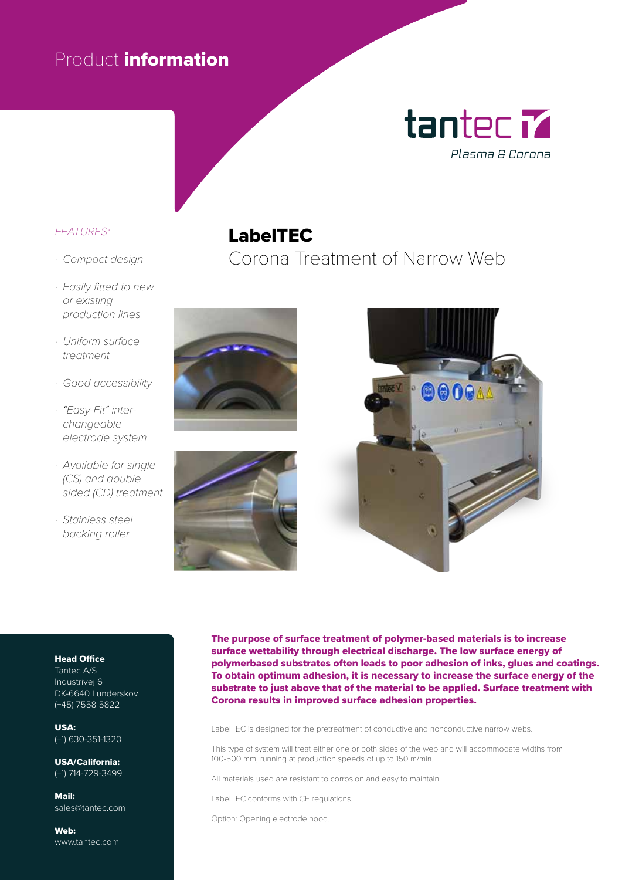### Product information

## tantec **M** Plasma & Corona

#### *FEATURES:*

- *· Compact design*
- *· Easily fitted to new or existing production lines*
- *· Uniform surface treatment*
- *· Good accessibility*
- *· "Easy-Fit" interchangeable electrode system*
- *· Available for single (CS) and double sided (CD) treatment*
- *· Stainless steel backing roller*

#### LabelTEC

Corona Treatment of Narrow Web







#### Head Office

Tantec A/S Industrivej 6 DK-6640 Lunderskov (+45) 7558 5822

USA: (+1) 630-351-1320

USA/California: (+1) 714-729-3499

Mail: sales@tantec.com

Web: www.tantec.com The purpose of surface treatment of polymer-based materials is to increase surface wettability through electrical discharge. The low surface energy of polymerbased substrates often leads to poor adhesion of inks, glues and coatings. To obtain optimum adhesion, it is necessary to increase the surface energy of the substrate to just above that of the material to be applied. Surface treatment with Corona results in improved surface adhesion properties.

LabelTEC is designed for the pretreatment of conductive and nonconductive narrow webs.

This type of system will treat either one or both sides of the web and will accommodate widths from 100-500 mm, running at production speeds of up to 150 m/min.

All materials used are resistant to corrosion and easy to maintain.

LabelTEC conforms with CE regulations.

Option: Opening electrode hood.